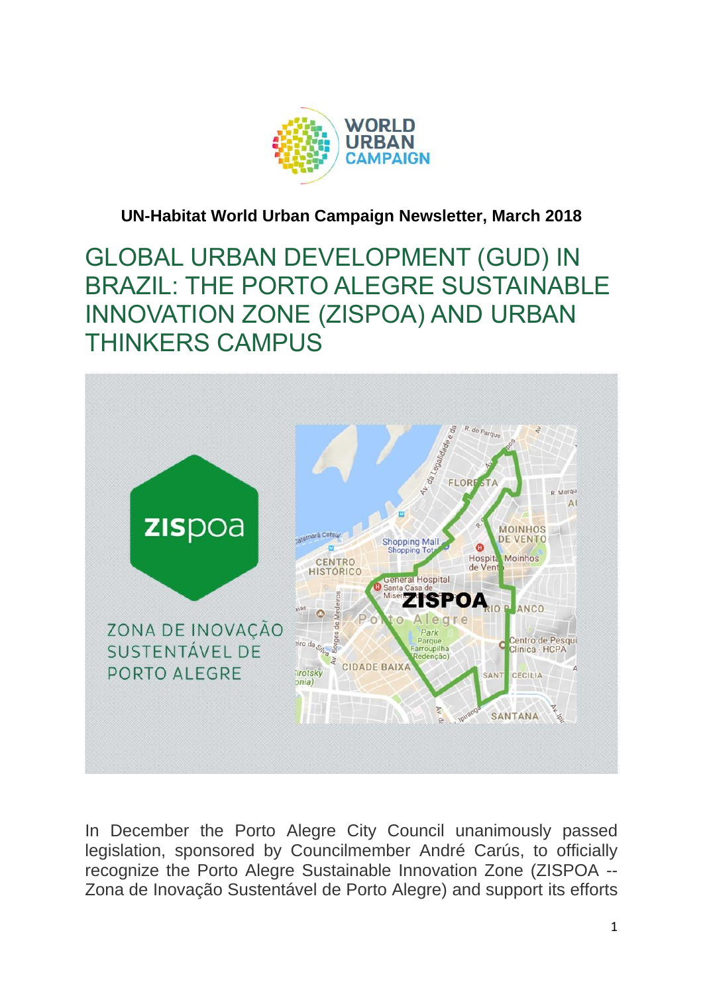

## **UN-Habitat World Urban Campaign Newsletter, March 2018**

GLOBAL URBAN DEVELOPMENT (GUD) IN BRAZIL: THE PORTO ALEGRE SUSTAINABLE INNOVATION ZONE (ZISPOA) AND URBAN THINKERS CAMPUS



In December the Porto Alegre City Council unanimously passed legislation, sponsored by Councilmember André Carús, to officially recognize the Porto Alegre Sustainable Innovation Zone (ZISPOA -- Zona de Inovação Sustentável de Porto Alegre) and support its efforts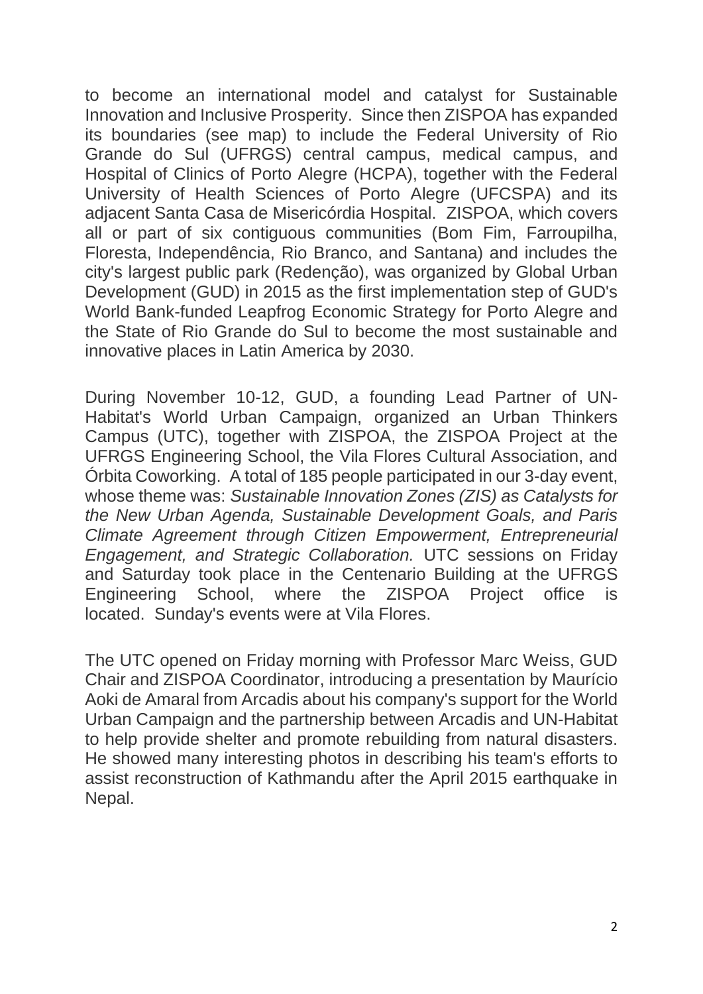to become an international model and catalyst for Sustainable Innovation and Inclusive Prosperity. Since then ZISPOA has expanded its boundaries (see map) to include the Federal University of Rio Grande do Sul (UFRGS) central campus, medical campus, and Hospital of Clinics of Porto Alegre (HCPA), together with the Federal University of Health Sciences of Porto Alegre (UFCSPA) and its adjacent Santa Casa de Misericórdia Hospital. ZISPOA, which covers all or part of six contiguous communities (Bom Fim, Farroupilha, Floresta, Independência, Rio Branco, and Santana) and includes the city's largest public park (Redenção), was organized by Global Urban Development (GUD) in 2015 as the first implementation step of GUD's World Bank-funded Leapfrog Economic Strategy for Porto Alegre and the State of Rio Grande do Sul to become the most sustainable and innovative places in Latin America by 2030.

During November 10-12, GUD, a founding Lead Partner of UN-Habitat's World Urban Campaign, organized an Urban Thinkers Campus (UTC), together with ZISPOA, the ZISPOA Project at the UFRGS Engineering School, the Vila Flores Cultural Association, and Órbita Coworking. A total of 185 people participated in our 3-day event, whose theme was: *Sustainable Innovation Zones (ZIS) as Catalysts for the New Urban Agenda, Sustainable Development Goals, and Paris Climate Agreement through Citizen Empowerment, Entrepreneurial Engagement, and Strategic Collaboration.* UTC sessions on Friday and Saturday took place in the Centenario Building at the UFRGS Engineering School, where the ZISPOA Project office is located. Sunday's events were at Vila Flores.

The UTC opened on Friday morning with Professor Marc Weiss, GUD Chair and ZISPOA Coordinator, introducing a presentation by Maurício Aoki de Amaral from Arcadis about his company's support for the World Urban Campaign and the partnership between Arcadis and UN-Habitat to help provide shelter and promote rebuilding from natural disasters. He showed many interesting photos in describing his team's efforts to assist reconstruction of Kathmandu after the April 2015 earthquake in Nepal.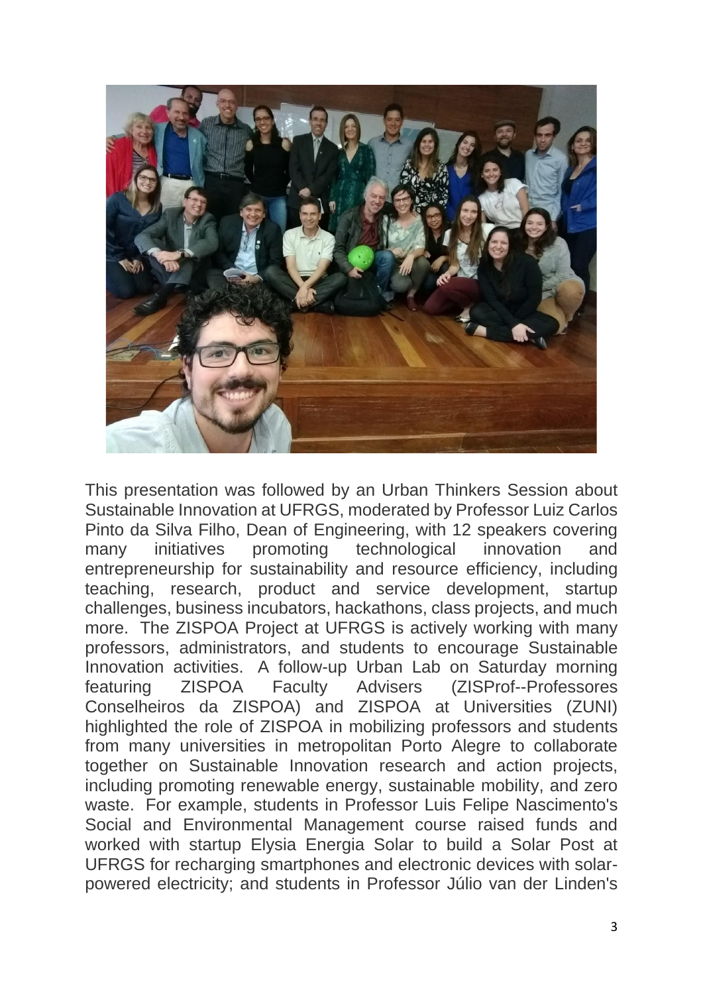

This presentation was followed by an Urban Thinkers Session about Sustainable Innovation at UFRGS, moderated by Professor Luiz Carlos Pinto da Silva Filho, Dean of Engineering, with 12 speakers covering many initiatives promoting technological innovation and entrepreneurship for sustainability and resource efficiency, including teaching, research, product and service development, startup challenges, business incubators, hackathons, class projects, and much more. The ZISPOA Project at UFRGS is actively working with many professors, administrators, and students to encourage Sustainable Innovation activities. A follow-up Urban Lab on Saturday morning featuring ZISPOA Faculty Advisers (ZISProf--Professores Conselheiros da ZISPOA) and ZISPOA at Universities (ZUNI) highlighted the role of ZISPOA in mobilizing professors and students from many universities in metropolitan Porto Alegre to collaborate together on Sustainable Innovation research and action projects, including promoting renewable energy, sustainable mobility, and zero waste. For example, students in Professor Luis Felipe Nascimento's Social and Environmental Management course raised funds and worked with startup Elysia Energia Solar to build a Solar Post at UFRGS for recharging smartphones and electronic devices with solarpowered electricity; and students in Professor Júlio van der Linden's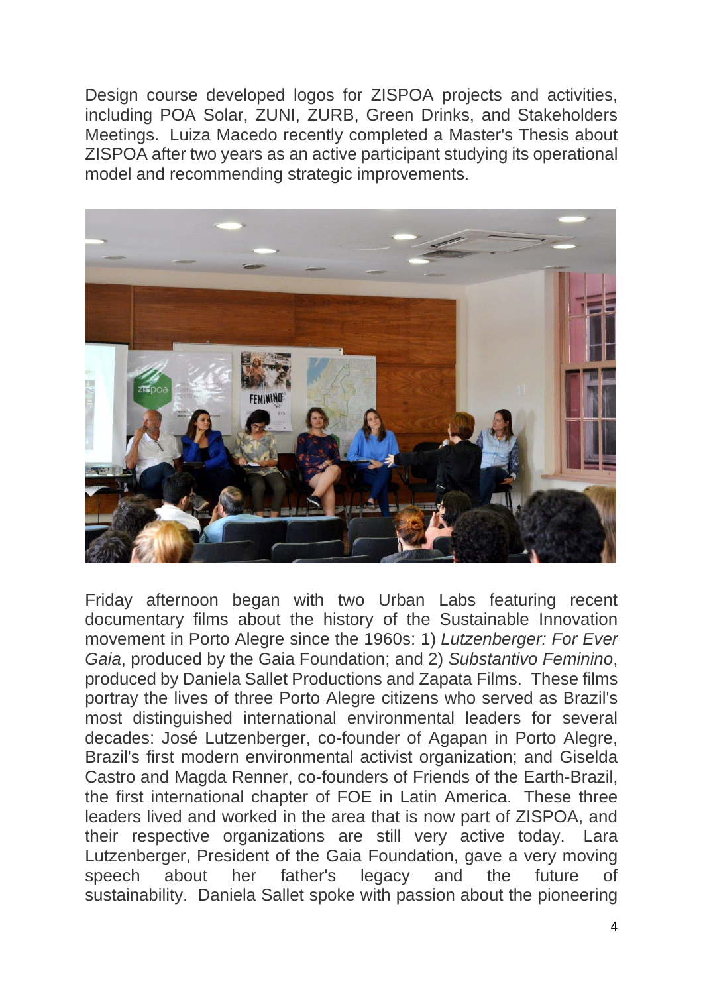Design course developed logos for ZISPOA projects and activities, including POA Solar, ZUNI, ZURB, Green Drinks, and Stakeholders Meetings. Luiza Macedo recently completed a Master's Thesis about ZISPOA after two years as an active participant studying its operational model and recommending strategic improvements.



Friday afternoon began with two Urban Labs featuring recent documentary films about the history of the Sustainable Innovation movement in Porto Alegre since the 1960s: 1) *Lutzenberger: For Ever Gaia*, produced by the Gaia Foundation; and 2) *Substantivo Feminino*, produced by Daniela Sallet Productions and Zapata Films. These films portray the lives of three Porto Alegre citizens who served as Brazil's most distinguished international environmental leaders for several decades: José Lutzenberger, co-founder of Agapan in Porto Alegre, Brazil's first modern environmental activist organization; and Giselda Castro and Magda Renner, co-founders of Friends of the Earth-Brazil, the first international chapter of FOE in Latin America. These three leaders lived and worked in the area that is now part of ZISPOA, and their respective organizations are still very active today. Lara Lutzenberger, President of the Gaia Foundation, gave a very moving speech about her father's legacy and the future of sustainability. Daniela Sallet spoke with passion about the pioneering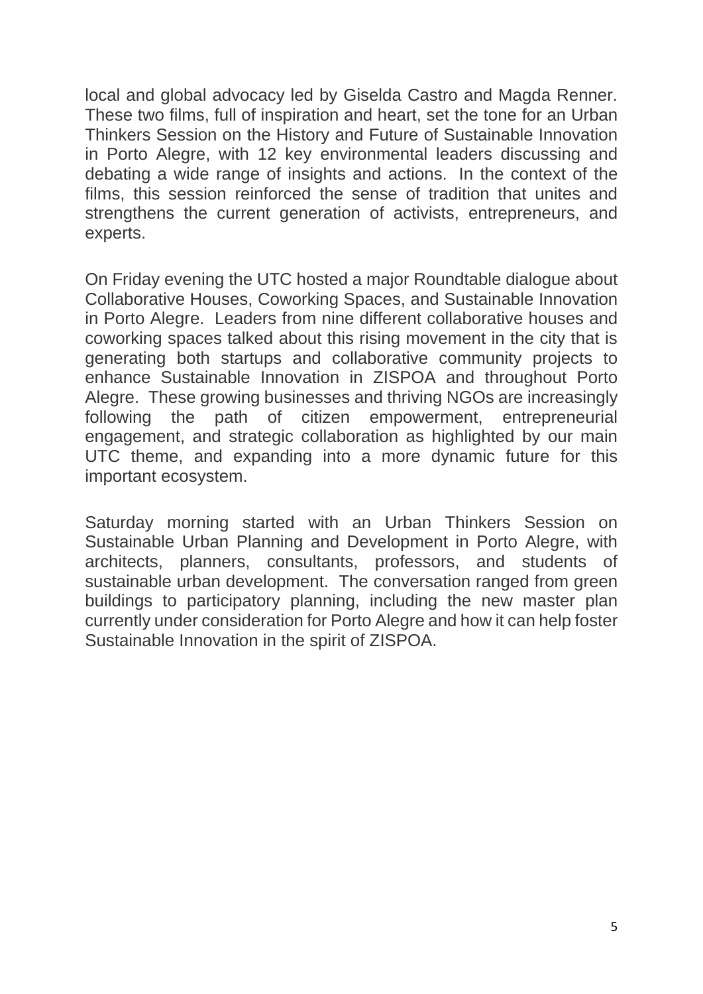local and global advocacy led by Giselda Castro and Magda Renner. These two films, full of inspiration and heart, set the tone for an Urban Thinkers Session on the History and Future of Sustainable Innovation in Porto Alegre, with 12 key environmental leaders discussing and debating a wide range of insights and actions. In the context of the films, this session reinforced the sense of tradition that unites and strengthens the current generation of activists, entrepreneurs, and experts.

On Friday evening the UTC hosted a major Roundtable dialogue about Collaborative Houses, Coworking Spaces, and Sustainable Innovation in Porto Alegre. Leaders from nine different collaborative houses and coworking spaces talked about this rising movement in the city that is generating both startups and collaborative community projects to enhance Sustainable Innovation in ZISPOA and throughout Porto Alegre. These growing businesses and thriving NGOs are increasingly following the path of citizen empowerment, entrepreneurial engagement, and strategic collaboration as highlighted by our main UTC theme, and expanding into a more dynamic future for this important ecosystem.

Saturday morning started with an Urban Thinkers Session on Sustainable Urban Planning and Development in Porto Alegre, with architects, planners, consultants, professors, and students of sustainable urban development. The conversation ranged from green buildings to participatory planning, including the new master plan currently under consideration for Porto Alegre and how it can help foster Sustainable Innovation in the spirit of ZISPOA.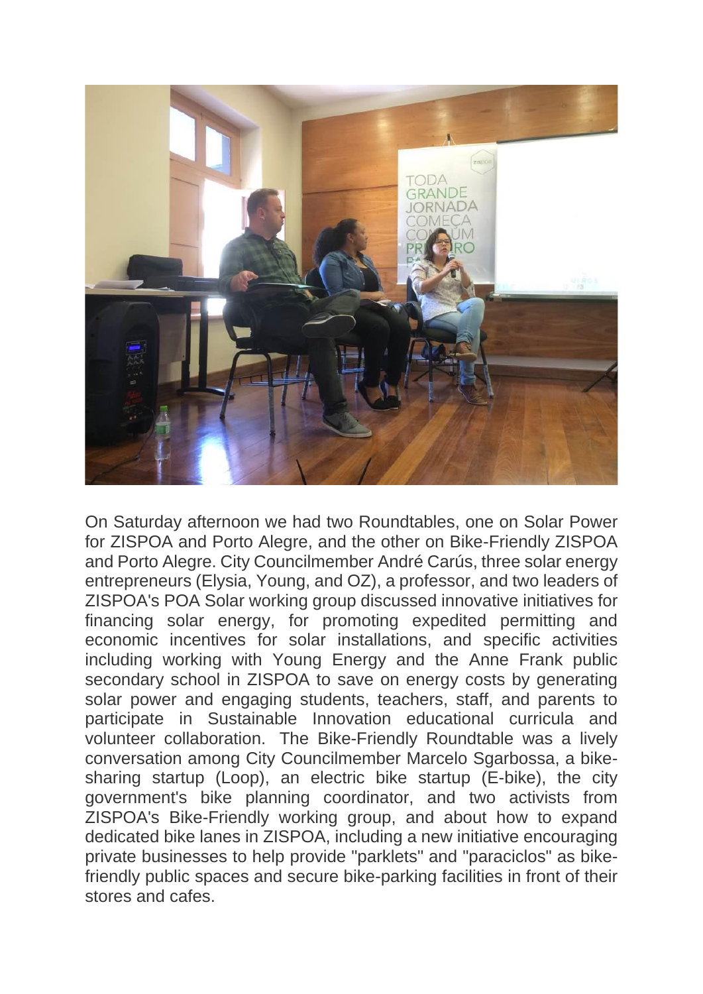

On Saturday afternoon we had two Roundtables, one on Solar Power for ZISPOA and Porto Alegre, and the other on Bike-Friendly ZISPOA and Porto Alegre. City Councilmember André Carús, three solar energy entrepreneurs (Elysia, Young, and OZ), a professor, and two leaders of ZISPOA's POA Solar working group discussed innovative initiatives for financing solar energy, for promoting expedited permitting and economic incentives for solar installations, and specific activities including working with Young Energy and the Anne Frank public secondary school in ZISPOA to save on energy costs by generating solar power and engaging students, teachers, staff, and parents to participate in Sustainable Innovation educational curricula and volunteer collaboration. The Bike-Friendly Roundtable was a lively conversation among City Councilmember Marcelo Sgarbossa, a bikesharing startup (Loop), an electric bike startup (E-bike), the city government's bike planning coordinator, and two activists from ZISPOA's Bike-Friendly working group, and about how to expand dedicated bike lanes in ZISPOA, including a new initiative encouraging private businesses to help provide "parklets" and "paraciclos" as bikefriendly public spaces and secure bike-parking facilities in front of their stores and cafes.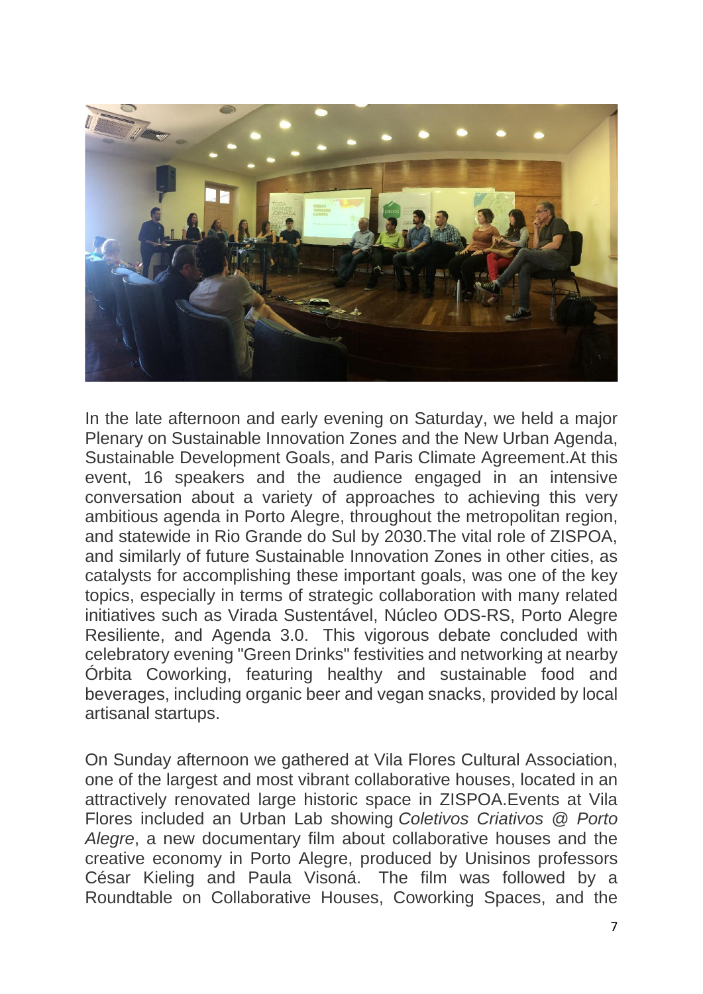

In the late afternoon and early evening on Saturday, we held a major Plenary on Sustainable Innovation Zones and the New Urban Agenda, Sustainable Development Goals, and Paris Climate Agreement.At this event, 16 speakers and the audience engaged in an intensive conversation about a variety of approaches to achieving this very ambitious agenda in Porto Alegre, throughout the metropolitan region, and statewide in Rio Grande do Sul by 2030.The vital role of ZISPOA, and similarly of future Sustainable Innovation Zones in other cities, as catalysts for accomplishing these important goals, was one of the key topics, especially in terms of strategic collaboration with many related initiatives such as Virada Sustentável, Núcleo ODS-RS, Porto Alegre Resiliente, and Agenda 3.0. This vigorous debate concluded with celebratory evening "Green Drinks" festivities and networking at nearby Órbita Coworking, featuring healthy and sustainable food and beverages, including organic beer and vegan snacks, provided by local artisanal startups.

On Sunday afternoon we gathered at Vila Flores Cultural Association, one of the largest and most vibrant collaborative houses, located in an attractively renovated large historic space in ZISPOA.Events at Vila Flores included an Urban Lab showing *Coletivos Criativos @ Porto Alegre*, a new documentary film about collaborative houses and the creative economy in Porto Alegre, produced by Unisinos professors César Kieling and Paula Visoná. The film was followed by a Roundtable on Collaborative Houses, Coworking Spaces, and the